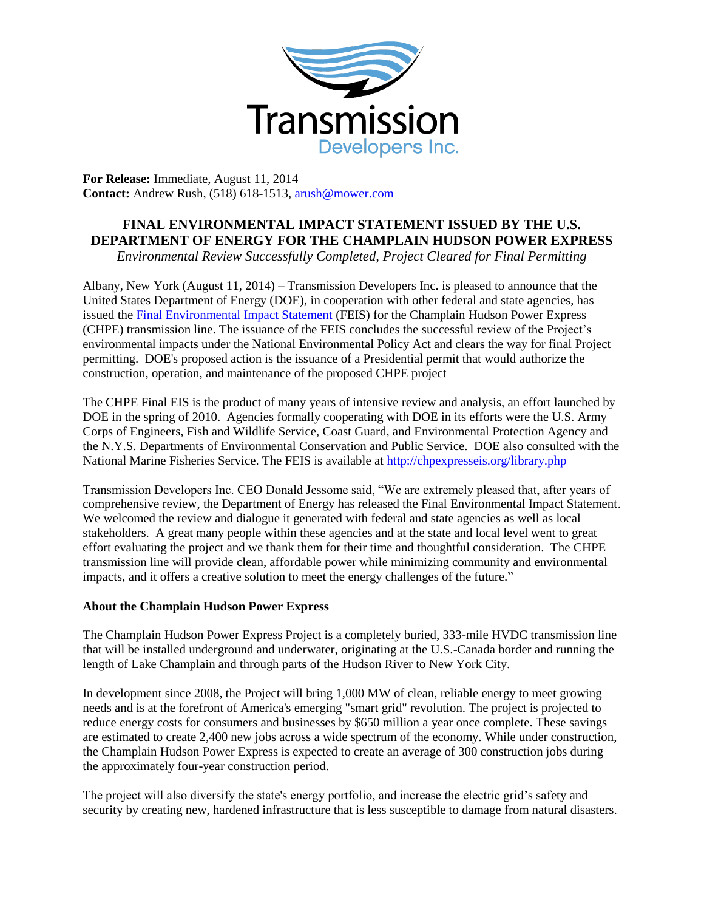

**For Release:** Immediate, August 11, 2014 **Contact:** Andrew Rush, (518) 618-1513, arush@mower.com

## **FINAL ENVIRONMENTAL IMPACT STATEMENT ISSUED BY THE U.S. DEPARTMENT OF ENERGY FOR THE CHAMPLAIN HUDSON POWER EXPRESS**

*Environmental Review Successfully Completed, Project Cleared for Final Permitting*

Albany, New York (August 11, 2014) – Transmission Developers Inc. is pleased to announce that the United States Department of Energy (DOE), in cooperation with other federal and state agencies, has issued the [Final Environmental Impact Statement](http://chpexpresseis.org/library.php) (FEIS) for the Champlain Hudson Power Express (CHPE) transmission line. The issuance of the FEIS concludes the successful review of the Project's environmental impacts under the National Environmental Policy Act and clears the way for final Project permitting. DOE's proposed action is the issuance of a Presidential permit that would authorize the construction, operation, and maintenance of the proposed CHPE project

The CHPE Final EIS is the product of many years of intensive review and analysis, an effort launched by DOE in the spring of 2010. Agencies formally cooperating with DOE in its efforts were the U.S. Army Corps of Engineers, Fish and Wildlife Service, Coast Guard, and Environmental Protection Agency and the N.Y.S. Departments of Environmental Conservation and Public Service. DOE also consulted with the National Marine Fisheries Service. The FEIS is available at<http://chpexpresseis.org/library.php>

Transmission Developers Inc. CEO Donald Jessome said, "We are extremely pleased that, after years of comprehensive review, the Department of Energy has released the Final Environmental Impact Statement. We welcomed the review and dialogue it generated with federal and state agencies as well as local stakeholders. A great many people within these agencies and at the state and local level went to great effort evaluating the project and we thank them for their time and thoughtful consideration. The CHPE transmission line will provide clean, affordable power while minimizing community and environmental impacts, and it offers a creative solution to meet the energy challenges of the future."

## **About the Champlain Hudson Power Express**

The Champlain Hudson Power Express Project is a completely buried, 333-mile HVDC transmission line that will be installed underground and underwater, originating at the U.S.-Canada border and running the length of Lake Champlain and through parts of the Hudson River to New York City.

In development since 2008, the Project will bring 1,000 MW of clean, reliable energy to meet growing needs and is at the forefront of America's emerging "smart grid" revolution. The project is projected to reduce energy costs for consumers and businesses by \$650 million a year once complete. These savings are estimated to create 2,400 new jobs across a wide spectrum of the economy. While under construction, the Champlain Hudson Power Express is expected to create an average of 300 construction jobs during the approximately four-year construction period.

The project will also diversify the state's energy portfolio, and increase the electric grid's safety and security by creating new, hardened infrastructure that is less susceptible to damage from natural disasters.